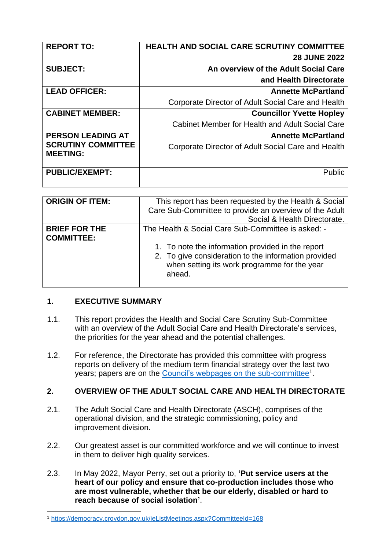| <b>REPORT TO:</b>                            | HEALTH AND SOCIAL CARE SCRUTINY COMMITTEE          |
|----------------------------------------------|----------------------------------------------------|
|                                              | <b>28 JUNE 2022</b>                                |
| <b>SUBJECT:</b>                              | An overview of the Adult Social Care               |
|                                              | and Health Directorate                             |
| <b>LEAD OFFICER:</b>                         | <b>Annette McPartland</b>                          |
|                                              | Corporate Director of Adult Social Care and Health |
| <b>CABINET MEMBER:</b>                       | <b>Councillor Yvette Hopley</b>                    |
|                                              | Cabinet Member for Health and Adult Social Care    |
| <b>PERSON LEADING AT</b>                     | <b>Annette McPartland</b>                          |
| <b>SCRUTINY COMMITTEE</b><br><b>MEETING:</b> | Corporate Director of Adult Social Care and Health |
|                                              |                                                    |
| <b>PUBLIC/EXEMPT:</b>                        | <b>Public</b>                                      |
|                                              |                                                    |

| <b>ORIGIN OF ITEM:</b>                    | This report has been requested by the Health & Social<br>Care Sub-Committee to provide an overview of the Adult<br>Social & Health Directorate.                                                                           |
|-------------------------------------------|---------------------------------------------------------------------------------------------------------------------------------------------------------------------------------------------------------------------------|
| <b>BRIEF FOR THE</b><br><b>COMMITTEE:</b> | The Health & Social Care Sub-Committee is asked: -<br>1. To note the information provided in the report<br>2. To give consideration to the information provided<br>when setting its work programme for the year<br>ahead. |

# **1. EXECUTIVE SUMMARY**

- 1.1. This report provides the Health and Social Care Scrutiny Sub-Committee with an overview of the Adult Social Care and Health Directorate's services, the priorities for the year ahead and the potential challenges.
- 1.2. For reference, the Directorate has provided this committee with progress reports on delivery of the medium term financial strategy over the last two years; papers are on the [Council's webpages on the sub-committee](https://democracy.croydon.gov.uk/ieListMeetings.aspx?CommitteeId=168)<sup>1</sup>.

# **2. OVERVIEW OF THE ADULT SOCIAL CARE AND HEALTH DIRECTORATE**

- 2.1. The Adult Social Care and Health Directorate (ASCH), comprises of the operational division, and the strategic commissioning, policy and improvement division.
- 2.2. Our greatest asset is our committed workforce and we will continue to invest in them to deliver high quality services.
- 2.3. In May 2022, Mayor Perry, set out a priority to, **'Put service users at the heart of our policy and ensure that co-production includes those who are most vulnerable, whether that be our elderly, disabled or hard to reach because of social isolation'**.

<sup>1</sup> <https://democracy.croydon.gov.uk/ieListMeetings.aspx?CommitteeId=168>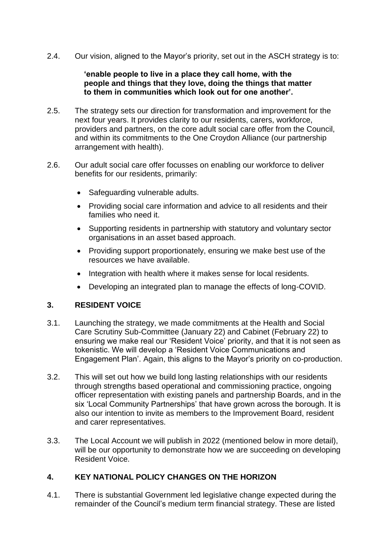2.4. Our vision, aligned to the Mayor's priority, set out in the ASCH strategy is to:

#### **'enable people to live in a place they call home, with the people and things that they love, doing the things that matter to them in communities which look out for one another'.**

- 2.5. The strategy sets our direction for transformation and improvement for the next four years. It provides clarity to our residents, carers, workforce, providers and partners, on the core adult social care offer from the Council, and within its commitments to the One Croydon Alliance (our partnership arrangement with health).
- 2.6. Our adult social care offer focusses on enabling our workforce to deliver benefits for our residents, primarily:
	- Safeguarding vulnerable adults.
	- Providing social care information and advice to all residents and their families who need it.
	- Supporting residents in partnership with statutory and voluntary sector organisations in an asset based approach.
	- Providing support proportionately, ensuring we make best use of the resources we have available.
	- Integration with health where it makes sense for local residents.
	- Developing an integrated plan to manage the effects of long-COVID.

# **3. RESIDENT VOICE**

- 3.1. Launching the strategy, we made commitments at the Health and Social Care Scrutiny Sub-Committee (January 22) and Cabinet (February 22) to ensuring we make real our 'Resident Voice' priority, and that it is not seen as tokenistic. We will develop a 'Resident Voice Communications and Engagement Plan'. Again, this aligns to the Mayor's priority on co-production.
- 3.2. This will set out how we build long lasting relationships with our residents through strengths based operational and commissioning practice, ongoing officer representation with existing panels and partnership Boards, and in the six 'Local Community Partnerships' that have grown across the borough. It is also our intention to invite as members to the Improvement Board, resident and carer representatives.
- 3.3. The Local Account we will publish in 2022 (mentioned below in more detail), will be our opportunity to demonstrate how we are succeeding on developing Resident Voice.

# **4. KEY NATIONAL POLICY CHANGES ON THE HORIZON**

4.1. There is substantial Government led legislative change expected during the remainder of the Council's medium term financial strategy. These are listed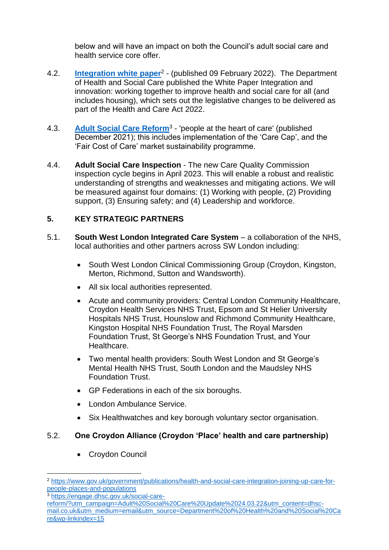below and will have an impact on both the Council's adult social care and health service core offer.

- 4.2. **[Integration white paper](https://www.gov.uk/government/publications/health-and-social-care-integration-joining-up-care-for-people-places-and-populations)**<sup>2</sup> (published 09 February 2022). The Department of Health and Social Care published the White Paper Integration and innovation: working together to improve health and social care for all (and includes housing), which sets out the legislative changes to be delivered as part of the Health and Care Act 2022.
- 4.3. [Adult Social Care Reform](https://engage.dhsc.gov.uk/social-care-reform/?utm_campaign=Adult%20Social%20Care%20Update%2024.03.22&utm_content=dhsc-mail.co.uk&utm_medium=email&utm_source=Department%20of%20Health%20and%20Social%20Care&wp-linkindex=15)<sup>3</sup> 'people at the heart of care' (published December 2021); this includes implementation of the 'Care Cap', and the 'Fair Cost of Care' market sustainability programme.
- 4.4. **Adult Social Care Inspection** The new Care Quality Commission inspection cycle begins in April 2023. This will enable a robust and realistic understanding of strengths and weaknesses and mitigating actions. We will be measured against four domains: (1) Working with people, (2) Providing support, (3) Ensuring safety; and (4) Leadership and workforce.

# **5. KEY STRATEGIC PARTNERS**

- 5.1. **South West London Integrated Care System** a collaboration of the NHS, local authorities and other partners across SW London including:
	- South West London Clinical Commissioning Group (Croydon, Kingston, Merton, Richmond, Sutton and Wandsworth).
	- All six local authorities represented.
	- Acute and community providers: Central London Community Healthcare, Croydon Health Services NHS Trust, Epsom and St Helier University Hospitals NHS Trust, Hounslow and Richmond Community Healthcare, Kingston Hospital NHS Foundation Trust, The Royal Marsden Foundation Trust, St George's NHS Foundation Trust, and Your **Healthcare**
	- Two mental health providers: South West London and St George's Mental Health NHS Trust, South London and the Maudsley NHS Foundation Trust.
	- GP Federations in each of the six boroughs.
	- London Ambulance Service.
	- Six Healthwatches and key borough voluntary sector organisation.

# 5.2. **One Croydon Alliance (Croydon 'Place' health and care partnership)**

• Croydon Council

<sup>3</sup> [https://engage.dhsc.gov.uk/social-care-](https://engage.dhsc.gov.uk/social-care-reform/?utm_campaign=Adult%20Social%20Care%20Update%2024.03.22&utm_content=dhsc-mail.co.uk&utm_medium=email&utm_source=Department%20of%20Health%20and%20Social%20Care&wp-linkindex=15)

<sup>2</sup> [https://www.gov.uk/government/publications/health-and-social-care-integration-joining-up-care-for](https://www.gov.uk/government/publications/health-and-social-care-integration-joining-up-care-for-people-places-and-populations)[people-places-and-populations](https://www.gov.uk/government/publications/health-and-social-care-integration-joining-up-care-for-people-places-and-populations)

[reform/?utm\\_campaign=Adult%20Social%20Care%20Update%2024.03.22&utm\\_content=dhsc](https://engage.dhsc.gov.uk/social-care-reform/?utm_campaign=Adult%20Social%20Care%20Update%2024.03.22&utm_content=dhsc-mail.co.uk&utm_medium=email&utm_source=Department%20of%20Health%20and%20Social%20Care&wp-linkindex=15)[mail.co.uk&utm\\_medium=email&utm\\_source=Department%20of%20Health%20and%20Social%20Ca](https://engage.dhsc.gov.uk/social-care-reform/?utm_campaign=Adult%20Social%20Care%20Update%2024.03.22&utm_content=dhsc-mail.co.uk&utm_medium=email&utm_source=Department%20of%20Health%20and%20Social%20Care&wp-linkindex=15) [re&wp-linkindex=15](https://engage.dhsc.gov.uk/social-care-reform/?utm_campaign=Adult%20Social%20Care%20Update%2024.03.22&utm_content=dhsc-mail.co.uk&utm_medium=email&utm_source=Department%20of%20Health%20and%20Social%20Care&wp-linkindex=15)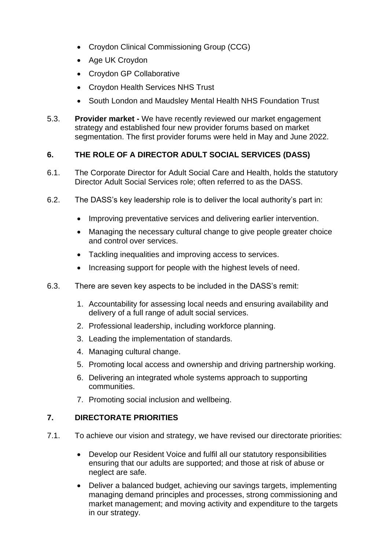- Croydon Clinical Commissioning Group (CCG)
- Age UK Croydon
- Croydon GP Collaborative
- Croydon Health Services NHS Trust
- South London and Maudsley Mental Health NHS Foundation Trust
- 5.3. **Provider market -** We have recently reviewed our market engagement strategy and established four new provider forums based on market segmentation. The first provider forums were held in May and June 2022.

# **6. THE ROLE OF A DIRECTOR ADULT SOCIAL SERVICES (DASS)**

- 6.1. The Corporate Director for Adult Social Care and Health, holds the statutory Director Adult Social Services role; often referred to as the DASS.
- 6.2. The DASS's key leadership role is to deliver the local authority's part in:
	- Improving preventative services and delivering earlier intervention.
	- Managing the necessary cultural change to give people greater choice and control over services.
	- Tackling inequalities and improving access to services.
	- Increasing support for people with the highest levels of need.
- 6.3. There are seven key aspects to be included in the DASS's remit:
	- 1. Accountability for assessing local needs and ensuring availability and delivery of a full range of adult social services.
	- 2. Professional leadership, including workforce planning.
	- 3. Leading the implementation of standards.
	- 4. Managing cultural change.
	- 5. Promoting local access and ownership and driving partnership working.
	- 6. Delivering an integrated whole systems approach to supporting communities.
	- 7. Promoting social inclusion and wellbeing.

# **7. DIRECTORATE PRIORITIES**

- 7.1. To achieve our vision and strategy, we have revised our directorate priorities:
	- Develop our Resident Voice and fulfil all our statutory responsibilities ensuring that our adults are supported; and those at risk of abuse or neglect are safe.
	- Deliver a balanced budget, achieving our savings targets, implementing managing demand principles and processes, strong commissioning and market management; and moving activity and expenditure to the targets in our strategy.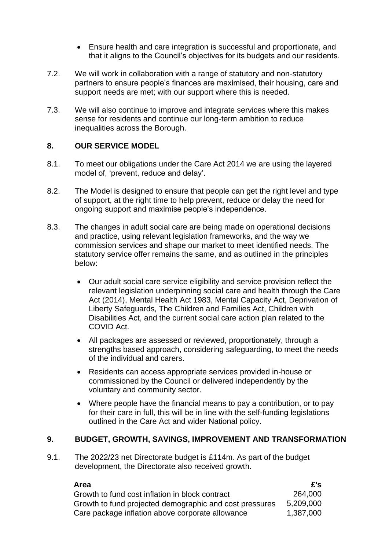- Ensure health and care integration is successful and proportionate, and that it aligns to the Council's objectives for its budgets and our residents.
- 7.2. We will work in collaboration with a range of statutory and non-statutory partners to ensure people's finances are maximised, their housing, care and support needs are met; with our support where this is needed.
- 7.3. We will also continue to improve and integrate services where this makes sense for residents and continue our long-term ambition to reduce inequalities across the Borough.

### **8. OUR SERVICE MODEL**

- 8.1. To meet our obligations under the Care Act 2014 we are using the layered model of, 'prevent, reduce and delay'.
- 8.2. The Model is designed to ensure that people can get the right level and type of support, at the right time to help prevent, reduce or delay the need for ongoing support and maximise people's independence.
- 8.3. The changes in adult social care are being made on operational decisions and practice, using relevant legislation frameworks, and the way we commission services and shape our market to meet identified needs. The statutory service offer remains the same, and as outlined in the principles below:
	- Our adult social care service eligibility and service provision reflect the relevant legislation underpinning social care and health through the Care Act (2014), Mental Health Act 1983, Mental Capacity Act, Deprivation of Liberty Safeguards, The Children and Families Act, Children with Disabilities Act, and the current social care action plan related to the COVID Act.
	- All packages are assessed or reviewed, proportionately, through a strengths based approach, considering safeguarding, to meet the needs of the individual and carers.
	- Residents can access appropriate services provided in-house or commissioned by the Council or delivered independently by the voluntary and community sector.
	- Where people have the financial means to pay a contribution, or to pay for their care in full, this will be in line with the self-funding legislations outlined in the Care Act and wider National policy.

#### **9. BUDGET, GROWTH, SAVINGS, IMPROVEMENT AND TRANSFORMATION**

9.1. The 2022/23 net Directorate budget is £114m. As part of the budget development, the Directorate also received growth.

| Area                                                    | E's       |
|---------------------------------------------------------|-----------|
| Growth to fund cost inflation in block contract         | 264,000   |
| Growth to fund projected demographic and cost pressures | 5.209.000 |
| Care package inflation above corporate allowance        | 1.387.000 |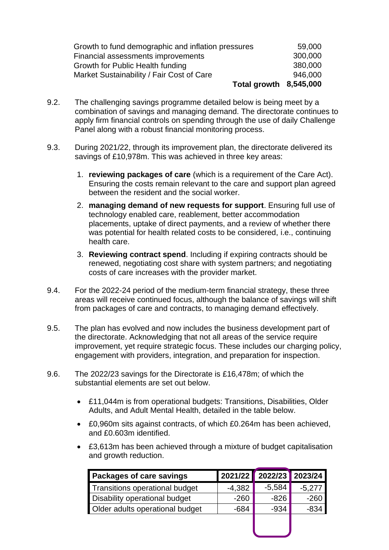| Growth to fund demographic and inflation pressures | 59,000  |
|----------------------------------------------------|---------|
| Financial assessments improvements                 | 300,000 |
| Growth for Public Health funding                   | 380,000 |
| Market Sustainability / Fair Cost of Care          | 946,000 |
| Total growth 8,545,000                             |         |

- 9.2. The challenging savings programme detailed below is being meet by a combination of savings and managing demand. The directorate continues to apply firm financial controls on spending through the use of daily Challenge Panel along with a robust financial monitoring process.
- 9.3. During 2021/22, through its improvement plan, the directorate delivered its savings of £10,978m. This was achieved in three key areas:
	- 1. **reviewing packages of care** (which is a requirement of the Care Act). Ensuring the costs remain relevant to the care and support plan agreed between the resident and the social worker.
	- 2. **managing demand of new requests for support**. Ensuring full use of technology enabled care, reablement, better accommodation placements, uptake of direct payments, and a review of whether there was potential for health related costs to be considered, i.e., continuing health care.
	- 3. **Reviewing contract spend**. Including if expiring contracts should be renewed, negotiating cost share with system partners; and negotiating costs of care increases with the provider market.
- 9.4. For the 2022-24 period of the medium-term financial strategy, these three areas will receive continued focus, although the balance of savings will shift from packages of care and contracts, to managing demand effectively.
- 9.5. The plan has evolved and now includes the business development part of the directorate. Acknowledging that not all areas of the service require improvement, yet require strategic focus. These includes our charging policy, engagement with providers, integration, and preparation for inspection.
- 9.6. The 2022/23 savings for the Directorate is £16,478m; of which the substantial elements are set out below.
	- £11,044m is from operational budgets: Transitions, Disabilities, Older Adults, and Adult Mental Health, detailed in the table below.
	- £0,960m sits against contracts, of which £0.264m has been achieved, and £0.603m identified.
	- £3,613m has been achieved through a mixture of budget capitalisation and growth reduction.

| 2021/22  |          | 2023/24  |
|----------|----------|----------|
| $-4,382$ | $-5,584$ | $-5,277$ |
| $-260$   | $-826$   | $-260$   |
| $-684$   | $-934$   | $-834$   |
|          |          |          |
|          |          | 2022/23  |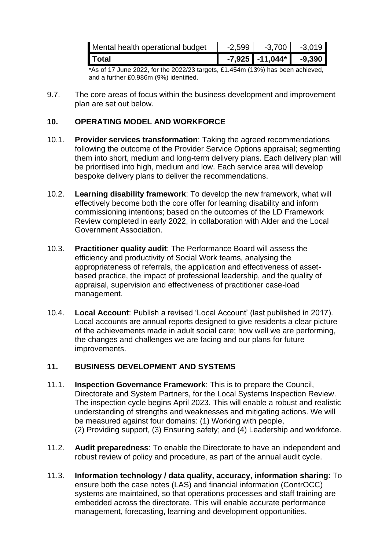| Mental health operational budget | $-2.599$ | $-3.700$          | $-3.019$ |
|----------------------------------|----------|-------------------|----------|
| Total                            |          | $-7,925$ -11,044* | $-9.390$ |

 $*$ As of 17 June 2022, for the 2022/23 targets, £1.454m (13%) has been achieved, and a further £0.986m (9%) identified.

9.7. The core areas of focus within the business development and improvement plan are set out below.

### **10. OPERATING MODEL AND WORKFORCE**

- 10.1. **Provider services transformation**: Taking the agreed recommendations following the outcome of the Provider Service Options appraisal; segmenting them into short, medium and long-term delivery plans. Each delivery plan will be prioritised into high, medium and low. Each service area will develop bespoke delivery plans to deliver the recommendations.
- 10.2. **Learning disability framework**: To develop the new framework, what will effectively become both the core offer for learning disability and inform commissioning intentions; based on the outcomes of the LD Framework Review completed in early 2022, in collaboration with Alder and the Local Government Association.
- 10.3. **Practitioner quality audit**: The Performance Board will assess the efficiency and productivity of Social Work teams, analysing the appropriateness of referrals, the application and effectiveness of assetbased practice, the impact of professional leadership, and the quality of appraisal, supervision and effectiveness of practitioner case-load management.
- 10.4. **Local Account**: Publish a revised 'Local Account' (last published in 2017). Local accounts are annual reports designed to give residents a clear picture of the achievements made in adult social care; how well we are performing, the changes and challenges we are facing and our plans for future improvements.

# **11. BUSINESS DEVELOPMENT AND SYSTEMS**

- 11.1. **Inspection Governance Framework**: This is to prepare the Council, Directorate and System Partners, for the Local Systems Inspection Review. The inspection cycle begins April 2023. This will enable a robust and realistic understanding of strengths and weaknesses and mitigating actions. We will be measured against four domains: (1) Working with people, (2) Providing support, (3) Ensuring safety; and (4) Leadership and workforce.
- 11.2. **Audit preparedness**: To enable the Directorate to have an independent and robust review of policy and procedure, as part of the annual audit cycle.
- 11.3. **Information technology / data quality, accuracy, information sharing**: To ensure both the case notes (LAS) and financial information (ContrOCC) systems are maintained, so that operations processes and staff training are embedded across the directorate. This will enable accurate performance management, forecasting, learning and development opportunities.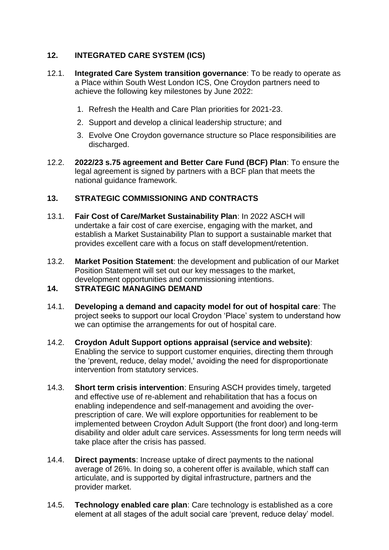# **12. INTEGRATED CARE SYSTEM (ICS)**

- 12.1. **Integrated Care System transition governance**: To be ready to operate as a Place within South West London ICS, One Croydon partners need to achieve the following key milestones by June 2022:
	- 1. Refresh the Health and Care Plan priorities for 2021-23.
	- 2. Support and develop a clinical leadership structure; and
	- 3. Evolve One Croydon governance structure so Place responsibilities are discharged.
- 12.2. **2022/23 s.75 agreement and Better Care Fund (BCF) Plan**: To ensure the legal agreement is signed by partners with a BCF plan that meets the national guidance framework.

# **13. STRATEGIC COMMISSIONING AND CONTRACTS**

- 13.1. **Fair Cost of Care/Market Sustainability Plan**: In 2022 ASCH will undertake a fair cost of care exercise, engaging with the market, and establish a Market Sustainability Plan to support a sustainable market that provides excellent care with a focus on staff development/retention.
- 13.2. **Market Position Statement**: the development and publication of our Market Position Statement will set out our key messages to the market, development opportunities and commissioning intentions.

#### **14. STRATEGIC MANAGING DEMAND**

- 14.1. **Developing a demand and capacity model for out of hospital care**: The project seeks to support our local Croydon 'Place' system to understand how we can optimise the arrangements for out of hospital care.
- 14.2. **Croydon Adult Support options appraisal (service and website)**: Enabling the service to support customer enquiries, directing them through the 'prevent, reduce, delay model,' avoiding the need for disproportionate intervention from statutory services.
- 14.3. **Short term crisis intervention**: Ensuring ASCH provides timely, targeted and effective use of re-ablement and rehabilitation that has a focus on enabling independence and self-management and avoiding the overprescription of care. We will explore opportunities for reablement to be implemented between Croydon Adult Support (the front door) and long-term disability and older adult care services. Assessments for long term needs will take place after the crisis has passed.
- 14.4. **Direct payments**: Increase uptake of direct payments to the national average of 26%. In doing so, a coherent offer is available, which staff can articulate, and is supported by digital infrastructure, partners and the provider market.
- 14.5. **Technology enabled care plan**: Care technology is established as a core element at all stages of the adult social care 'prevent, reduce delay' model.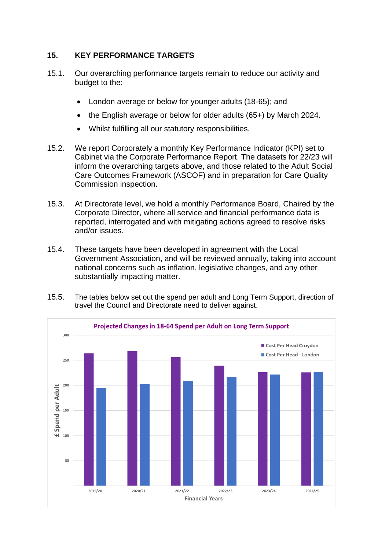### **15. KEY PERFORMANCE TARGETS**

- 15.1. Our overarching performance targets remain to reduce our activity and budget to the:
	- London average or below for younger adults (18-65); and
	- the English average or below for older adults (65+) by March 2024.
	- Whilst fulfilling all our statutory responsibilities.
- 15.2. We report Corporately a monthly Key Performance Indicator (KPI) set to Cabinet via the Corporate Performance Report. The datasets for 22/23 will inform the overarching targets above, and those related to the Adult Social Care Outcomes Framework (ASCOF) and in preparation for Care Quality Commission inspection.
- 15.3. At Directorate level, we hold a monthly Performance Board, Chaired by the Corporate Director, where all service and financial performance data is reported, interrogated and with mitigating actions agreed to resolve risks and/or issues.
- 15.4. These targets have been developed in agreement with the Local Government Association, and will be reviewed annually, taking into account national concerns such as inflation, legislative changes, and any other substantially impacting matter.
- 15.5. The tables below set out the spend per adult and Long Term Support, direction of travel the Council and Directorate need to deliver against.

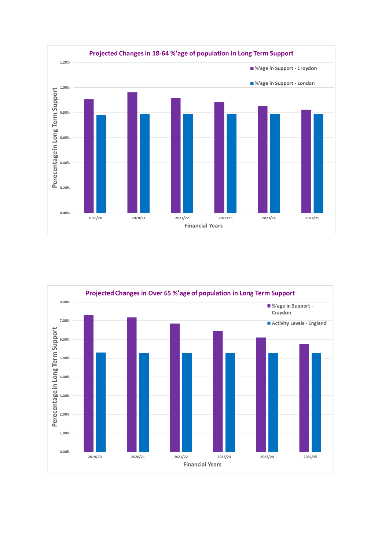

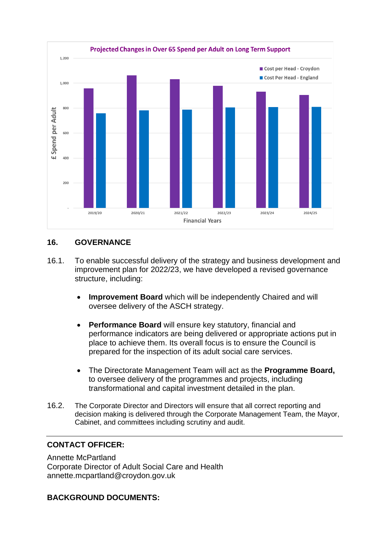

#### **16. GOVERNANCE**

- 16.1. To enable successful delivery of the strategy and business development and improvement plan for 2022/23, we have developed a revised governance structure, including:
	- **Improvement Board** which will be independently Chaired and will oversee delivery of the ASCH strategy.
	- **Performance Board** will ensure key statutory, financial and performance indicators are being delivered or appropriate actions put in place to achieve them. Its overall focus is to ensure the Council is prepared for the inspection of its adult social care services.
	- The Directorate Management Team will act as the **Programme Board,** to oversee delivery of the programmes and projects, including transformational and capital investment detailed in the plan.
- 16.2. The Corporate Director and Directors will ensure that all correct reporting and decision making is delivered through the Corporate Management Team, the Mayor, Cabinet, and committees including scrutiny and audit.

#### **CONTACT OFFICER:**

Annette McPartland Corporate Director of Adult Social Care and Health annette.mcpartland@croydon.gov.uk

#### **BACKGROUND DOCUMENTS:**